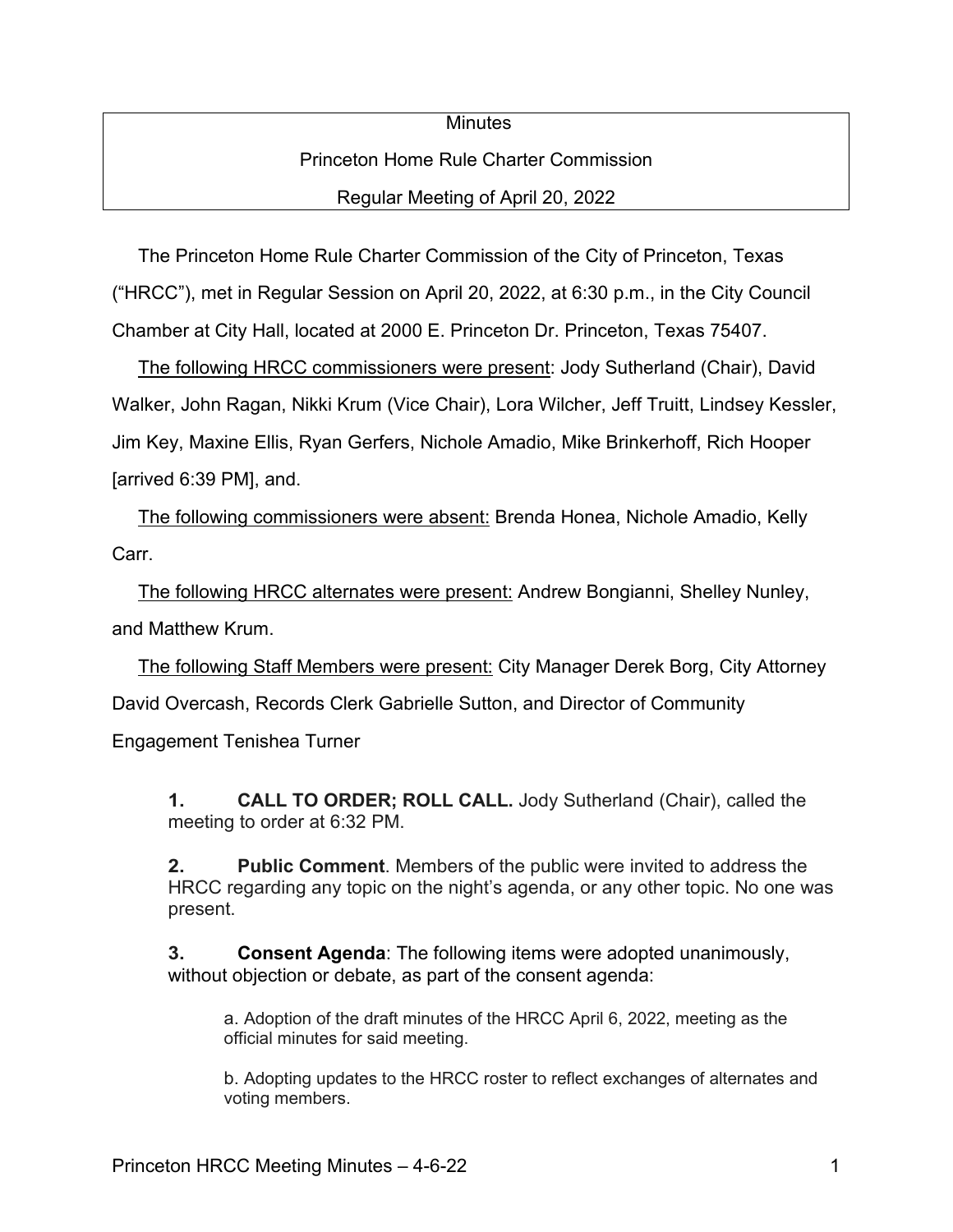## **Minutes** Princeton Home Rule Charter Commission Regular Meeting of April 20, 2022

 The Princeton Home Rule Charter Commission of the City of Princeton, Texas ("HRCC"), met in Regular Session on April 20, 2022, at 6:30 p.m., in the City Council Chamber at City Hall, located at 2000 E. Princeton Dr. Princeton, Texas 75407.

 The following HRCC commissioners were present: Jody Sutherland (Chair), David Walker, John Ragan, Nikki Krum (Vice Chair), Lora Wilcher, Jeff Truitt, Lindsey Kessler, Jim Key, Maxine Ellis, Ryan Gerfers, Nichole Amadio, Mike Brinkerhoff, Rich Hooper [arrived 6:39 PM], and.

 The following commissioners were absent: Brenda Honea, Nichole Amadio, Kelly Carr.

 The following HRCC alternates were present: Andrew Bongianni, Shelley Nunley, and Matthew Krum.

 The following Staff Members were present: City Manager Derek Borg, City Attorney David Overcash, Records Clerk Gabrielle Sutton, and Director of Community

Engagement Tenishea Turner

**1. CALL TO ORDER; ROLL CALL.** Jody Sutherland (Chair), called the meeting to order at 6:32 PM.

**2. Public Comment**. Members of the public were invited to address the HRCC regarding any topic on the night's agenda, or any other topic. No one was present.

**3. Consent Agenda**: The following items were adopted unanimously, without objection or debate, as part of the consent agenda:

a. Adoption of the draft minutes of the HRCC April 6, 2022, meeting as the official minutes for said meeting.

b. Adopting updates to the HRCC roster to reflect exchanges of alternates and voting members.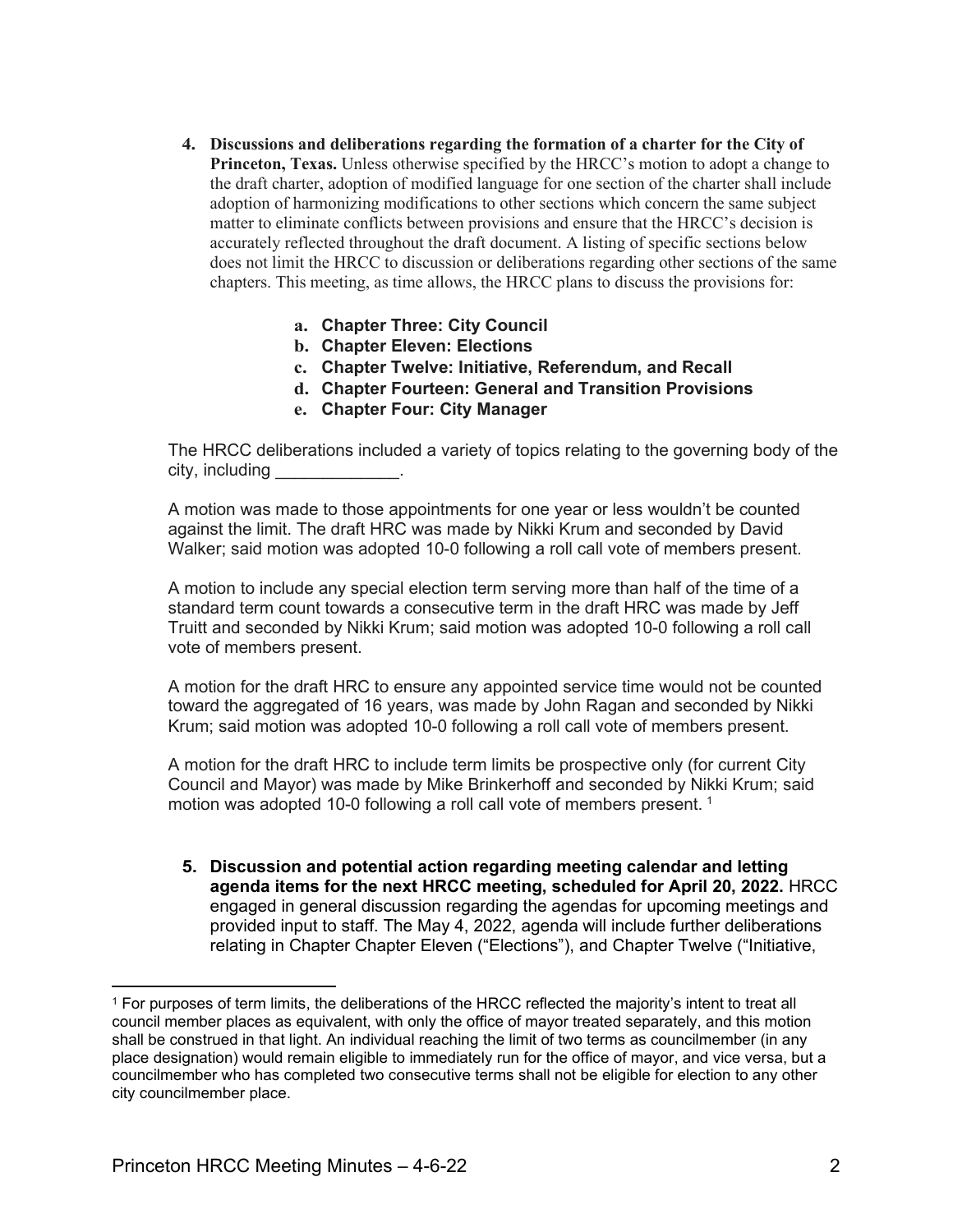- **4. Discussions and deliberations regarding the formation of a charter for the City of Princeton, Texas.** Unless otherwise specified by the HRCC's motion to adopt a change to the draft charter, adoption of modified language for one section of the charter shall include adoption of harmonizing modifications to other sections which concern the same subject matter to eliminate conflicts between provisions and ensure that the HRCC's decision is accurately reflected throughout the draft document. A listing of specific sections below does not limit the HRCC to discussion or deliberations regarding other sections of the same chapters. This meeting, as time allows, the HRCC plans to discuss the provisions for:
	- **a. Chapter Three: City Council**
	- **b. Chapter Eleven: Elections**
	- **c. Chapter Twelve: Initiative, Referendum, and Recall**
	- **d. Chapter Fourteen: General and Transition Provisions**
	- **e. Chapter Four: City Manager**

The HRCC deliberations included a variety of topics relating to the governing body of the city, including

A motion was made to those appointments for one year or less wouldn't be counted against the limit. The draft HRC was made by Nikki Krum and seconded by David Walker; said motion was adopted 10-0 following a roll call vote of members present.

A motion to include any special election term serving more than half of the time of a standard term count towards a consecutive term in the draft HRC was made by Jeff Truitt and seconded by Nikki Krum; said motion was adopted 10-0 following a roll call vote of members present.

A motion for the draft HRC to ensure any appointed service time would not be counted toward the aggregated of 16 years, was made by John Ragan and seconded by Nikki Krum; said motion was adopted 10-0 following a roll call vote of members present.

A motion for the draft HRC to include term limits be prospective only (for current City Council and Mayor) was made by Mike Brinkerhoff and seconded by Nikki Krum; said motion was adopted [1](#page-1-0)0-0 following a roll call vote of members present.<sup>1</sup>

**5. Discussion and potential action regarding meeting calendar and letting agenda items for the next HRCC meeting, scheduled for April 20, 2022.** HRCC engaged in general discussion regarding the agendas for upcoming meetings and provided input to staff. The May 4, 2022, agenda will include further deliberations relating in Chapter Chapter Eleven ("Elections"), and Chapter Twelve ("Initiative,

<span id="page-1-0"></span><sup>1</sup> For purposes of term limits, the deliberations of the HRCC reflected the majority's intent to treat all council member places as equivalent, with only the office of mayor treated separately, and this motion shall be construed in that light. An individual reaching the limit of two terms as councilmember (in any place designation) would remain eligible to immediately run for the office of mayor, and vice versa, but a councilmember who has completed two consecutive terms shall not be eligible for election to any other city councilmember place.